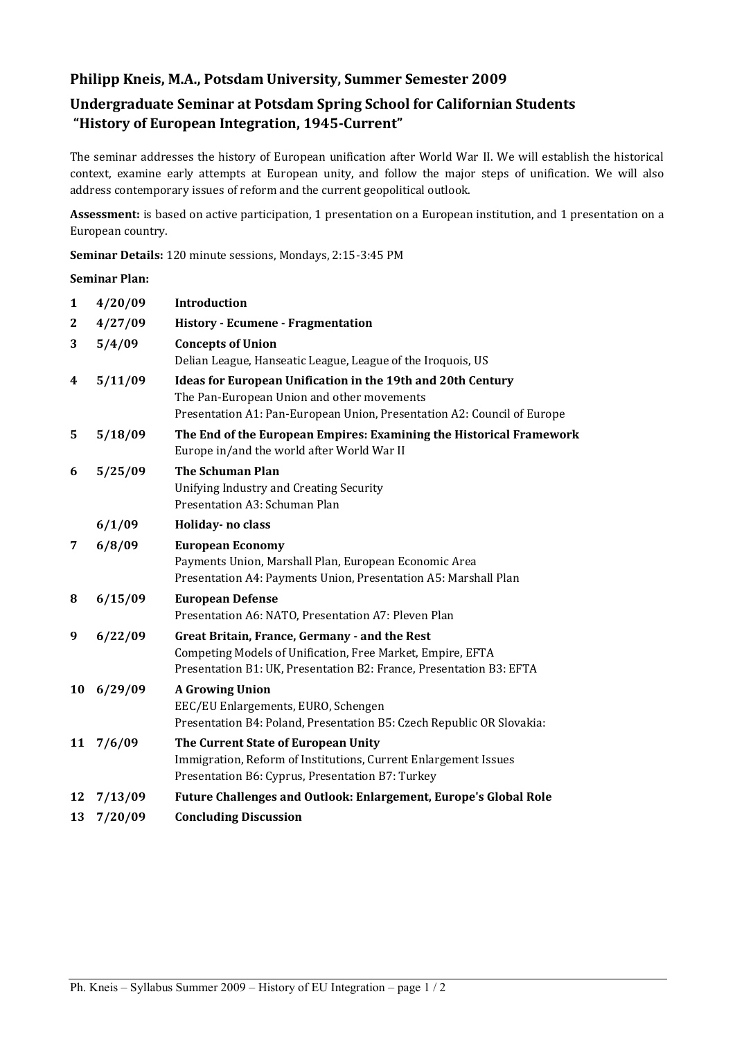## **Philipp Kneis, M.A., Potsdam University, Summer Semester 2009**

# **Undergraduate Seminar at Potsdam Spring School for Californian Students "History of European Integration, 1945-Current"**

The seminar addresses the history of European unification after World War II. We will establish the historical context, examine early attempts at European unity, and follow the major steps of unification. We will also address contemporary issues of reform and the current geopolitical outlook.

**Assessment:** is based on active participation, 1 presentation on a European institution, and 1 presentation on a European country.

**Seminar Details:** 120 minute sessions, Mondays, 2:15-3:45 PM

#### **Seminar Plan:**

| $\mathbf{1}$ | 4/20/09 | <b>Introduction</b>                                                                                                                                                                         |
|--------------|---------|---------------------------------------------------------------------------------------------------------------------------------------------------------------------------------------------|
| 2            | 4/27/09 | <b>History - Ecumene - Fragmentation</b>                                                                                                                                                    |
| 3            | 5/4/09  | <b>Concepts of Union</b>                                                                                                                                                                    |
|              |         | Delian League, Hanseatic League, League of the Iroquois, US                                                                                                                                 |
| 4            | 5/11/09 | <b>Ideas for European Unification in the 19th and 20th Century</b><br>The Pan-European Union and other movements<br>Presentation A1: Pan-European Union, Presentation A2: Council of Europe |
| 5            | 5/18/09 | The End of the European Empires: Examining the Historical Framework<br>Europe in/and the world after World War II                                                                           |
| 6            | 5/25/09 | <b>The Schuman Plan</b><br>Unifying Industry and Creating Security                                                                                                                          |
|              |         | Presentation A3: Schuman Plan                                                                                                                                                               |
|              | 6/1/09  | Holiday- no class                                                                                                                                                                           |
| 7            | 6/8/09  | <b>European Economy</b><br>Payments Union, Marshall Plan, European Economic Area<br>Presentation A4: Payments Union, Presentation A5: Marshall Plan                                         |
| 8            | 6/15/09 | <b>European Defense</b><br>Presentation A6: NATO, Presentation A7: Pleven Plan                                                                                                              |
| 9            | 6/22/09 | Great Britain, France, Germany - and the Rest<br>Competing Models of Unification, Free Market, Empire, EFTA<br>Presentation B1: UK, Presentation B2: France, Presentation B3: EFTA          |
| 10           | 6/29/09 | <b>A Growing Union</b><br>EEC/EU Enlargements, EURO, Schengen<br>Presentation B4: Poland, Presentation B5: Czech Republic OR Slovakia:                                                      |
| 11           | 7/6/09  | The Current State of European Unity<br>Immigration, Reform of Institutions, Current Enlargement Issues<br>Presentation B6: Cyprus, Presentation B7: Turkey                                  |
| 12           | 7/13/09 | <b>Future Challenges and Outlook: Enlargement, Europe's Global Role</b>                                                                                                                     |
| 13           | 7/20/09 | <b>Concluding Discussion</b>                                                                                                                                                                |